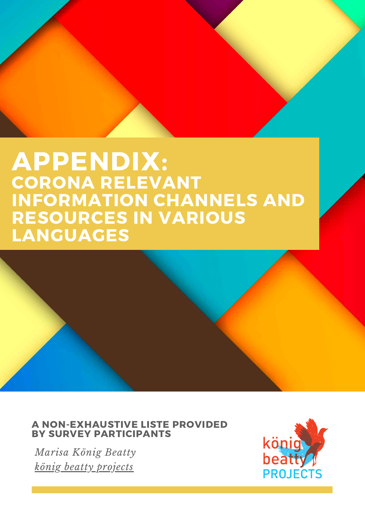## **APPENDIX: CORONA RELEVANT INFORMATION CHANNELS AND RESOURCES IN VARIOUS LANGUAGES**

# **A NON-EXHAUSTIVE LISTE PROVIDED<br>BY SURVEY PARTICIPANTS**

Marisa König Beatty <u>könig beatty projects</u>

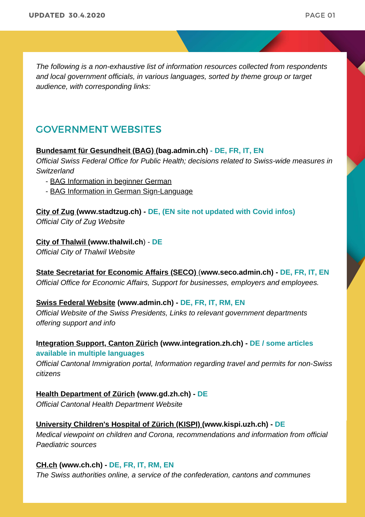*The following is a non-exhaustive list of information resources collected from respondents and local government officials, in various languages, sorted by theme group or target audience, with corresponding links:*

### GOVERNMENT WEBSITES

### **[Bundesamt für Gesundheit \(BAG\)](http://bag.admin.ch/) (bag.admin.ch) [- DE, FR, IT, EN](http://bag.admin.ch/)**

*Official Swiss Federal Office for Public Health; decisions related to Swiss-wide measures in Switzerland*

- [BAG Information in beginner German](http://www.bag.admin.ch/bag/de/home/krankheiten/ausbrueche-epidemien-pandemien/aktuelle-ausbrueche-epidemien/novel-cov/leichte-sprache.html)
- [BAG Information in German Sign-Language](http://www.bag.admin.ch/bag/de/home/krankheiten/ausbrueche-epidemien-pandemien/aktuelle-ausbrueche-epidemien/novel-cov/gebaerdensprache.html)

## **C[ity of Zug \(](https://www.stadtzug.ch/)www.stadtzug.ch) - DE, (EN site not updated with Covid infos)**

*Official City of Zug Website*

### **[City of Thalwil \(](http://www.thalwil.ch/corona)www.thalwil.ch**) - **DE**

*Official City of Thalwil Website*

**[State Secretariat for Economic Affairs \(SECO\)](https://www.seco.admin.ch/seco/en/home.html)** (**www.seco.admin.ch) - DE, FR, IT, EN** *Official Office for Economic Affairs, Support for businesses, employers and employees.*

### **[Swiss Federal Website](http://www.admin.ch/) (www.admin.ch) - DE, FR, IT, RM, EN**

*Official Website of the Swiss Presidents, Links to relevant government departments offering support and info*

**[Integration Support, Canton Zürich](http://www.integration.zh.ch/) (www.integration.zh.ch) - DE / some articles available in multiple languages**

*Official Cantonal Immigration portal, Information regarding travel and permits for non-Swiss citizens*

**[Health Department of Zürich](https://gd.zh.ch/) (www.gd.zh.ch) - DE** *Official Cantonal Health Department Website*

**[University Children's Hospital of Zürich \(KISPI\) \(](https://www.kispi.uzh.ch/de/Seiten/default.aspx)www.kispi.uzh.ch) - DE** *Medical viewpoint on children and Corona, recommendations and information from official Paediatric sources*

### **[CH.ch](http://www.ch.ch/) (www.ch.ch) - DE, FR, IT, RM, EN**

*The Swiss authorities online, a service of the confederation, cantons and communes*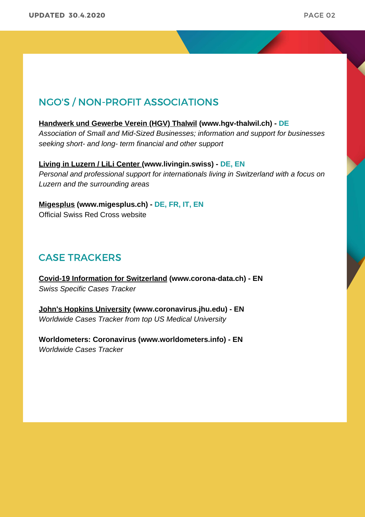### NGO'S / NON-PROFIT ASSOCIATIONS

### **[Handwerk und Gewerbe Verein \(HGV\) Thalwil](https://hgv-thalwil.ch/home/) (www.hgv-thalwil.ch) - DE**

*Association of Small and Mid-Sized Businesses; information and support for businesses seeking short- and long- term financial and other support*

**[Living in Luzern / LiLi Center \(](http://www.livingin.swiss/)www.livingin.swiss) - DE, EN** *Personal and professional support for internationals living in Switzerland with a focus on Luzern and the surrounding areas*

**[Migesplus](http://www.migesplus.ch/themen/coronavirus-de) (www.migesplus.ch) - DE, FR, IT, EN** Official Swiss Red Cross website

### CASE TRACKERS

**[Covid-19 Information for Switzerland](http://www.corona-data.ch/) (www.corona-data.ch) - EN** *Swiss Specific Cases Tracker*

**[John's Hopkins University](http://www.coronavirus.jhu.edu/) (www.coronavirus.jhu.edu) - EN** *Worldwide Cases Tracker from top US Medical University*

**Worldometers: Coronavirus (www.worldometers.info) - EN** *Worldwide Cases Tracker*